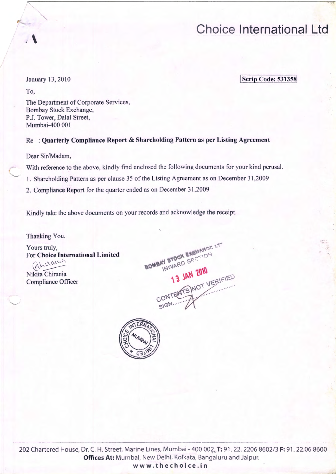January 13,2010

 $\sqrt{ }$ 

To,

**Scrip Code: 531358** 

The Department of Corporate Services, Bombay Stock Exchange, P.J. Tower, Dalal Street, Mumbai-400 001

### Re: Ouarterly Compliance Report & Shareholding Pattern as per Listing Agreement

Dear Sir/Madam,

With reference to the above, kindly find enclosed the following documents for your kind perusal.

1. Shareholding Pattern as per clause 35 of the Listing Agreement as on December 31,2009

2. Compliance Report for the quarter ended as on December 31 ,2009

Kindly take the above documents on your records and acknowledge the receipt.

Thanking You,

Yours truly, For Choice International Limited (Aheramis

Nikita Chirania Compliance Officer

.......\_\_.,

BOMBAY STOCK EXCHAMSE LT **13 JAN 2010**  $\sim$   $\sim$   $\sim$   $\sim$   $\sim$   $\sim$   $\sim$ ... ... SIGN.

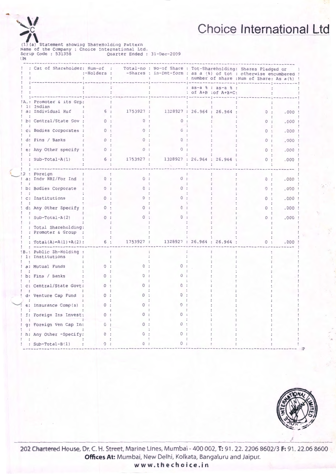(1)(a) Statement showing ShareHolding Pattern<br>Name of the Company : Choice International Ltd.<br>Scrip Code : 531358 (Quarter Ended : 31-Dec-2009) **IM** 

| : Cat of Shareholder: Num-of :                | :-Holders : |           | Total-no : No-of Share : Tot-Shareholding: Shares Pledged or<br>-Shares : in-Dmt-form : as a (%) of tot : otherwise encumbered ! |                                             | : number of share : Num of Share: As a (%) ! |      |
|-----------------------------------------------|-------------|-----------|----------------------------------------------------------------------------------------------------------------------------------|---------------------------------------------|----------------------------------------------|------|
|                                               |             |           |                                                                                                                                  | : as-a % : as-a % :<br>: of A+B : of A+B+C: |                                              |      |
| A.: Promoter & its Grp:                       |             |           |                                                                                                                                  |                                             |                                              |      |
| 1: Indian<br>a: Individual Huf                | 6 :         | 1753927 : | 1328927 : 26.964 : 26.964 :                                                                                                      |                                             | 0:                                           | .000 |
| b: Central/State Gov :                        |             |           |                                                                                                                                  |                                             |                                              | .000 |
| c: Bodies Corporates :                        | $\Omega$    |           |                                                                                                                                  |                                             |                                              | .000 |
| d: Fins / Banks                               | $\Omega$    |           |                                                                                                                                  |                                             |                                              | .000 |
| e: Any Other specify :                        | 0:          | $\Omega$  |                                                                                                                                  |                                             | O                                            | .000 |
| : $Sub-Total-A(1)$                            | 6 :         | 1753927 : |                                                                                                                                  | 1328927 : 26.964 : 26.964 :                 | $\Omega$                                     | .000 |
| : Foreign<br>a: Indv NRI/For Ind :            | 0:          | 0:        | <sup>o</sup>                                                                                                                     |                                             | 0:                                           | .000 |
| b: Bodies Corporate                           | $\Omega$ :  | $\Omega$  |                                                                                                                                  |                                             |                                              | .000 |
| c: Institutions                               | $^{\circ}$  |           |                                                                                                                                  |                                             |                                              | .000 |
| d: Any Other Specify                          |             |           |                                                                                                                                  |                                             |                                              | .000 |
| : $Sub-Total-A(2)$                            | $\circ$     |           |                                                                                                                                  |                                             |                                              | .000 |
| : Total Shareholding:<br>: Promoter & Group : |             |           |                                                                                                                                  |                                             |                                              |      |
| : Total(A)=A(1)+A(2):                         | 6 :         | 1753927 : |                                                                                                                                  | 1328927 : 26.964 : 26.964 :                 | 0:                                           | .000 |
| B.: Public Sh-Holding :<br>1: Institutions    |             |           |                                                                                                                                  |                                             |                                              |      |
| a: Mutual Funds                               | $\Omega$    |           |                                                                                                                                  |                                             |                                              |      |
| b: Fins / Banks                               | $\Omega$    |           |                                                                                                                                  |                                             |                                              |      |
| c: Central/State Govt:                        | 0:          |           |                                                                                                                                  |                                             |                                              |      |
| d: Venture Cap Fund                           | $\Omega$ :  |           |                                                                                                                                  |                                             |                                              |      |
| e: Insurance Comp(s) :                        | 0:          |           |                                                                                                                                  |                                             |                                              |      |
| f: Foreign Ins Invest:                        | 0:          |           |                                                                                                                                  |                                             |                                              |      |
| g: Foreign Ven Cap In:                        | $\Omega$ :  |           |                                                                                                                                  |                                             |                                              |      |
| h: Any Other -Specify:                        | 0:          |           |                                                                                                                                  |                                             |                                              |      |
| : $Sub-Total-B(1)$                            | 0:          | O.        | n.                                                                                                                               |                                             |                                              |      |



202 Chartered House, Dr. C. H. Street, Marine Lines, Mumbai - 400 002, T: 91. 22. 2206 8602/3 F: 91. 22.06 8600 Offices At: Mumbai, New Delhi, Kolkata, Bangaluru and Jaipur.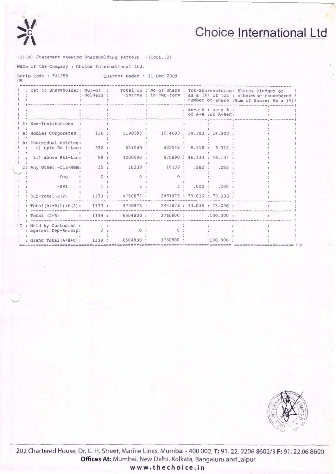

(1)(a) Statement showing ShareHolding Pattern -(Cont..2)

Name of the Company : Choice International Ltd.

Scrip Code: 531358 Quarter Ended : 31-Dec-2009  $\Box M$ 

|       |                                          |          |                                         |                       |  |                                             | Cat of Shareholder: Num-of : Total-no : No-of Share : Tot-Shareholding: Shares Pledged or<br>:-Holders : -Shares : in-Dmt-form : as a (%) of tot : otherwise encumbered !<br>: number of share : Num of Share: As a (%) ! |
|-------|------------------------------------------|----------|-----------------------------------------|-----------------------|--|---------------------------------------------|---------------------------------------------------------------------------------------------------------------------------------------------------------------------------------------------------------------------------|
|       |                                          |          |                                         |                       |  | : as-a % : as-a % :<br>: of A+B : of A+B+C: |                                                                                                                                                                                                                           |
|       | 2: Non-Institutions                      |          |                                         |                       |  |                                             |                                                                                                                                                                                                                           |
|       | a: Bodies Corporates :                   | 126:     | 1190593:                                | 1014693:18.303:18.303 |  |                                             |                                                                                                                                                                                                                           |
|       | Individual Holding:<br>i) upto Rs 1-Lac: | 932:     | 541049 :                                |                       |  | 422949 : 8.318 : 8.318                      |                                                                                                                                                                                                                           |
|       | ii) above Rs1-Lac:                       | 59:      | 3000890 :                               |                       |  | 975890 : 46.133 : 46.133 :                  |                                                                                                                                                                                                                           |
| $C$ : | Any Other -Clr-Mem:                      | 15:      | 18336 :                                 | 18336: .282: .282     |  |                                             |                                                                                                                                                                                                                           |
|       | $-OCB$                                   | $\Omega$ |                                         |                       |  |                                             |                                                                                                                                                                                                                           |
|       | $-NRI$                                   |          |                                         | 5:                    |  | .000: .000                                  |                                                                                                                                                                                                                           |
|       | $Sub-Total-B(2)$                         | 1133:    | 4750873 :                               | ilim a                |  | 2431873 : 73.036 : 73.036 :                 |                                                                                                                                                                                                                           |
|       | $Total(B) = B(1) + B(2)$ :               |          | 1133: 4750873: 2431873: 73.036: 73.036: |                       |  |                                             |                                                                                                                                                                                                                           |
|       | Total (A+B) : 1139 :                     |          |                                         | 6504800 : 3760800 :   |  | :100.000:                                   |                                                                                                                                                                                                                           |
|       | Held by Custodian :                      |          |                                         |                       |  |                                             |                                                                                                                                                                                                                           |
|       | against Dep-Receip:                      | 0:       | $\Omega$                                |                       |  |                                             |                                                                                                                                                                                                                           |
|       | : Grand Total (A+B+C) :                  |          | 1139 : 6504800 :                        | 3760800 :             |  | :100.000:                                   |                                                                                                                                                                                                                           |

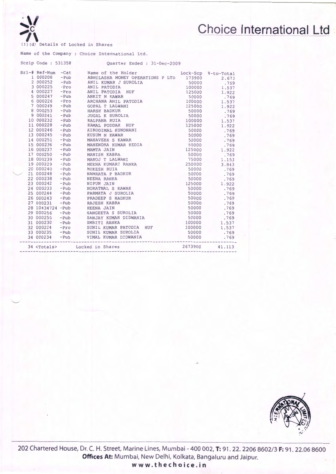(I) (d) Details of Locked in Shares

 $\mathcal{M}$ **c** 

"-.,../

Name of the Company : Choice International Ltd.

|                      | Scrip Code: 531358<br>Quarter Ended : 31-Dec-2009                                                                                                                                                                                                                              |        |              |
|----------------------|--------------------------------------------------------------------------------------------------------------------------------------------------------------------------------------------------------------------------------------------------------------------------------|--------|--------------|
| $Srl$ -# Ref-Num     | -Cat Name of the Holder Lock-Scp %-to-Total                                                                                                                                                                                                                                    |        |              |
| 1 000208             | -Pub ABHILASHA MONEY OPERATIONS P LTD 173900<br>- A REPORT ON A RESERVED AND MANUS OF THE SUGGEST ON A NORTH AND A SUGGEST ON A NOON CONSUMER SUGGEST ON A NOON CONSUMER SUGGEST ON A NOON CONSUMER SUGGEST ON A NOON CONSUMER SUGGEST ON A NOON CONSUMER SUGGEST ON A NAME OF |        | 2.673        |
|                      |                                                                                                                                                                                                                                                                                |        | .769         |
|                      |                                                                                                                                                                                                                                                                                | 100000 | 1.537        |
|                      |                                                                                                                                                                                                                                                                                |        | 1.922        |
|                      |                                                                                                                                                                                                                                                                                |        | .769         |
|                      |                                                                                                                                                                                                                                                                                |        | 1.537        |
|                      |                                                                                                                                                                                                                                                                                |        | 1.922        |
|                      |                                                                                                                                                                                                                                                                                |        | .769         |
|                      |                                                                                                                                                                                                                                                                                |        | .769         |
|                      |                                                                                                                                                                                                                                                                                |        | 100000 1.537 |
|                      |                                                                                                                                                                                                                                                                                |        | 1.922        |
|                      |                                                                                                                                                                                                                                                                                |        | .769         |
|                      |                                                                                                                                                                                                                                                                                |        | .769         |
|                      |                                                                                                                                                                                                                                                                                |        | .769         |
|                      |                                                                                                                                                                                                                                                                                |        | .769         |
|                      | 16 000237 - Pub MAMTA JAIN<br>17 000250 - Pub MANISH KABRA                                                                                                                                                                                                                     |        | 1.922        |
|                      |                                                                                                                                                                                                                                                                                | 50000  | .769         |
|                      | 18 000239 - Pub MANOJ T LALWANI                                                                                                                                                                                                                                                | 75000  | 1.153        |
|                      | 19 000229 - Pub MEENA KUMARI RANKA                                                                                                                                                                                                                                             | 250000 | 3.843        |
|                      |                                                                                                                                                                                                                                                                                | 50000  | .769         |
|                      | 20 000240 - Pub<br>21 000240 - Pub<br>21 000248 - Pub<br>22 000238 - Pub<br>23 000242 - Pub<br>24 000233 - Pub<br>24 000233 - Pub<br>24 000233 - Pub<br>24 000233 - Pub<br>24 000233 - Pub                                                                                     | 50000  | .769         |
|                      |                                                                                                                                                                                                                                                                                | 50000  | .769         |
|                      |                                                                                                                                                                                                                                                                                | 125000 | 1.922        |
|                      |                                                                                                                                                                                                                                                                                | 50000  | .769         |
|                      | 25 000244 - Pub PARMATA J SUROLIA                                                                                                                                                                                                                                              | 50000  | .769         |
|                      | 26 000243 -Pub PRADEEP S BADKUR                                                                                                                                                                                                                                                | 50000  | .769         |
|                      | 27 000231 - Pub RAJESH KABRA<br>50000<br>50000<br>50000                                                                                                                                                                                                                        | 50000  | .769         |
|                      | 28 10434724 - Pub REENA JAIN                                                                                                                                                                                                                                                   |        | .769         |
| 29 000256            | -Pub SANGEETA S SUROLIA                                                                                                                                                                                                                                                        | 50000  | .769         |
|                      | 30 000255 - Pub SANJAY KUMAR DIDWANIA                                                                                                                                                                                                                                          | 50000  | .769         |
|                      |                                                                                                                                                                                                                                                                                | 100000 | 1.537        |
|                      | 31 000230 -Pub<br>32 000224 -Pro SUNIL KUMAR PATODIA HUF<br>33 000235 -Pub SUNIL KUMAR PATODIA HUF<br>34 000234 -Pub VIMAL KUMAR DIDWANIA                                                                                                                                      | 100000 | 1.537        |
|                      |                                                                                                                                                                                                                                                                                | 50000  | .769         |
| ----------------     |                                                                                                                                                                                                                                                                                | 50000  | .769         |
| 34 <totals></totals> | 2673900<br>Locked in Shares                                                                                                                                                                                                                                                    |        | 41.113       |



**202 Chartered House, Dr. C. H. Street, Marine Lines, Mumbai- 400 002, T: 91 . 22. 2206 8602/3 F: 91 . 22.06 8600 Offices At: Mumbai, New Delhi, Kolkata, Bangaluru and Jaipur.**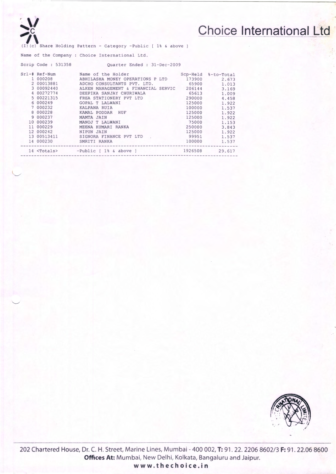

 $\overline{\phantom{0}}$ 

## **Choice International Ltd**

Share Holding Pattern - Category -Public [ 1% & above ]

Name of the Company : Choice International Ltd.

| Scrip Code: 531358 | Quarter Ended : 31-Dec-2009                     |         |                     |
|--------------------|-------------------------------------------------|---------|---------------------|
| $Srl-#$ Ref-Num    | Name of the Holder                              |         | Scp-Held %-to-Total |
| 1 000208           | ABHILASHA MONEY OPERATIONS P LTD                | 173900  | 2.673               |
| 2 00013881         | ADCHO CONSULTANTS PVT. LTD.                     | 65900   | 1.013               |
| 3 00092440         | ALKEN MANAGEMENT & FINANCIAL SERVIC             | 206144  | 3.169               |
| 4 00272774         | DEEPIKA SANJAY CHURIWALA                        | 65613   | 1.009               |
| 5 00221315         | FREA STATIONERY PVT LTD                         | 290000  | 4.458               |
| 6 000249           | <b>GOPAL T LALWANI</b>                          | 125000  | 1.922               |
| 7 000232           | KALPANA RUIA                                    | 100000  | 1.537               |
| 8 000228           | KAMAL PODDAR HUF                                | 125000  | 1.922               |
| 9 000237           | MAMTA JAIN                                      | 125000  | 1.922               |
| 10 000239          | MANOJ T LALWANI                                 | 75000   | 1,153               |
| 11 000229          | MEENA KUMARI RANKA                              | 250000  | 3.843               |
| 12 000242          | <b>NIPUN JAIN</b>                               | 125000  | 1.922               |
| 13 00513411        | SIGNORA FINANCE PVT LTD                         | 99951   | 1.537               |
| 14 000230          | SMRITI RANKA                                    | 100000  | 1.537               |
|                    | 14 <totals> -Public [ 1% &amp; above ]</totals> | 1926508 | 29.617              |
|                    |                                                 |         |                     |



**202 Chartered House, Dr. C. H. Street, Marine Lines, Mumbai- 400 002, T: 91 . 22. 2206 8602/3 F: 91. 22.06 8600 Offices At: Mumbai, New Delhi, Kolkata, Bangaluru and Jaipur. www.thechoice.in**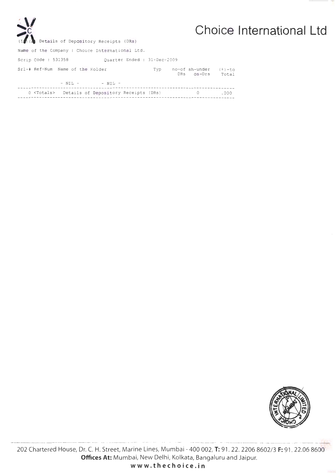| V<br>(I) (a) Details of Depository Receipts (DRs)        |     |                              | Choice International Ltd |
|----------------------------------------------------------|-----|------------------------------|--------------------------|
| Name of the Company : Choice International Ltd.          |     |                              |                          |
| Scrip Code: 531358<br>Ouarter Ended : 31-Dec-2009        |     |                              |                          |
| Srl-# Ref-Num Name of the Holder                         | Typ | no-of sh-under<br>DRS OS-Drs | ( * ) - to<br>Total      |
| $-$ NIL $ -$ NIL $-$                                     |     |                              |                          |
| 0 <totals> Details of Depository Receipts (DRs)</totals> |     | $\circ$                      | .000                     |



202 Chartered House, Dr. C. H. Street, Marine Lines, Mumbai - 400 002, T: 91. 22. 2206 8602/3 F: 91. 22.06 8600 Offices At: Mumbai, New Delhi, Kolkata, Bangaluru and Jaipur.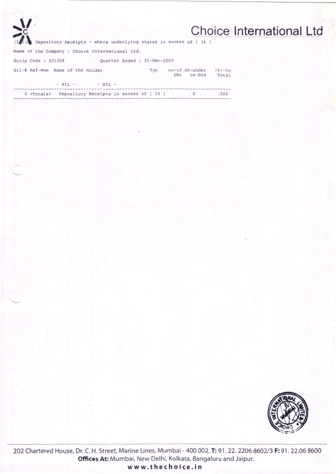| $\sum_{i=1}^{n}$                                                  | <b>Choice International Ltd</b>                     |
|-------------------------------------------------------------------|-----------------------------------------------------|
| Depository Receipts - where underlying shares in excess of [ 1% ] |                                                     |
| Name of the Company : Choice International Ltd.                   |                                                     |
| Ouarter Ended: 31-Dec-2009<br>Scrip Code: 531358                  |                                                     |
| Srl-# Ref-Num Name of the Holder<br>Typ                           | no-of sh-under<br>$(8) - to$<br>DRS os-Drs<br>Total |
| $- NIL - - NIL -$                                                 |                                                     |
| Depository Receipts in excess of [1%] 0<br>$0$ $<$ Totals>        | .000                                                |



202 Chartered House, Dr. C. H. Street, Marine Lines, Mumbai - 400 002, T: 91. 22. 2206 8602/3 F: 91. 22.06 8600 Offices At: Mumbai, New Delhi, Kolkata, Bangaluru and Jaipur. www.thechoice.in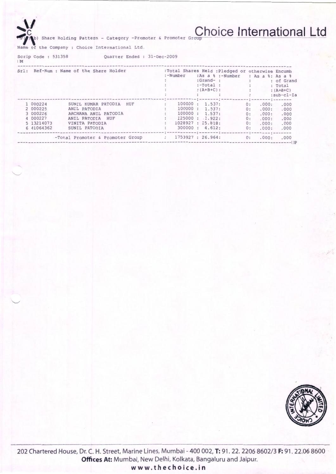# Share Holding Pattern - Category -Promoter & Promoter Group Choice International Ltd

Name of the Company : Choice International Ltd.

Scrip Code: 531358 Quarter Ended : 31-Dec-2009 **IM** 

| Srl:<br>Ref-Num : Name of the Share Holder |            | :Total Shares Held : Pledged or otherwise Encumb |               |                                                   |    |                              |            |  |
|--------------------------------------------|------------|--------------------------------------------------|---------------|---------------------------------------------------|----|------------------------------|------------|--|
|                                            |            |                                                  | $:-Number$    | $: As a 8 : -Number$                              |    | : As a %: As a %             |            |  |
|                                            |            |                                                  |               | $:Grand-$ :                                       |    |                              | : of Grand |  |
|                                            |            |                                                  |               | $:-Total:$                                        |    |                              | : Total    |  |
|                                            |            |                                                  |               | : $(A+B+C)$ :                                     |    |                              | $:(A+B+C)$ |  |
|                                            |            |                                                  |               |                                                   |    |                              | :sub-cl-Ia |  |
|                                            | 1 000224   | SUNIL KUMAR PATODIA HUF                          |               | -:--------;----------;-------;<br>100000 : 1.537: | 0: | .000:                        | .000       |  |
|                                            | 2 000225   | ANIL PATODIA                                     |               | 100000 : 1.537:                                   | 0: | .000:                        | .000       |  |
|                                            | 3 000226   | ARCHANA ANIL PATODIA                             |               | 100000 : 1.537:                                   | 0: | .000:                        | .000       |  |
|                                            | 4 000227   | ANIL PATODIA HUF                                 |               | 125000 : .1.922:                                  | 0: | .000:                        | .000       |  |
|                                            | 5 13214073 | VINITA PATODIA                                   |               | 1028927: 15.818:                                  | 0: | .000:                        | .000       |  |
|                                            | 6 41064362 | SUNIL PATODIA                                    |               | 300000 : 4.612:                                   | 0: | .000:                        | .000       |  |
|                                            |            | -Total Promoter & Promoter Group                 | $\mathcal{L}$ | 1753927 : 26.964:                                 | 0: | $- - - - - - - - -$<br>.000: | .000       |  |



202 Chartered House, Dr. C. H. Street, Marine Lines, Mumbai - 400 002, T: 91. 22. 2206 8602/3 F: 91. 22.06 8600 Offices At: Mumbai, New Delhi, Kolkata, Bangaluru and Jaipur.